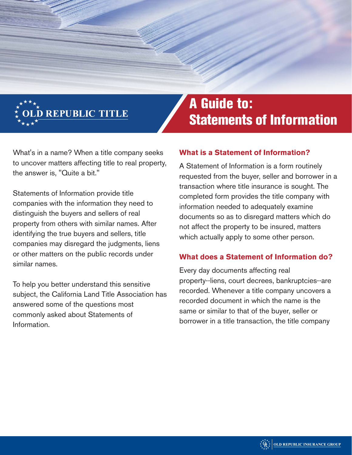

What's in a name? When a title company seeks to uncover matters affecting title to real property, the answer is, "Quite a bit."

Statements of Information provide title companies with the information they need to distinguish the buyers and sellers of real property from others with similar names. After identifying the true buyers and sellers, title companies may disregard the judgments, liens or other matters on the public records under similar names.

To help you better understand this sensitive subject, the California Land Title Association has answered some of the questions most commonly asked about Statements of Information.

# A Guide to: Statements of Information

### **What is a Statement of Information?**

A Statement of Information is a form routinely requested from the buyer, seller and borrower in a transaction where title insurance is sought. The completed form provides the title company with information needed to adequately examine documents so as to disregard matters which do not affect the property to be insured, matters which actually apply to some other person.

#### **What does a Statement of Information do?**

Every day documents affecting real property--liens, court decrees, bankruptcies--are recorded. Whenever a title company uncovers a recorded document in which the name is the same or similar to that of the buyer, seller or borrower in a title transaction, the title company